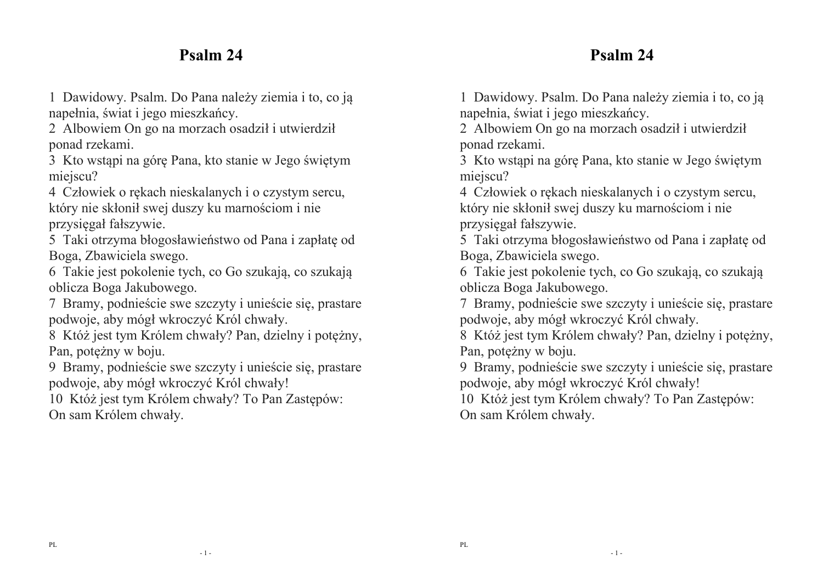# **Psalm 24**

#### 1 Dawidowy. Psalm. Do Pana należy ziemia i to, co ją napełnia, świat i jego mieszkańcy.

2 Albowiem On go na morzach osadził i utwierdził ponad rzekami.

3 Kto wstąpi na górę Pana, kto stanie w Jego świętym miejscu?

4 Człowiek o rękach nieskalanych i o czystym sercu, który nie skłonił swej duszy ku marnościom i nie przysięgał fałszywie.

5 Taki otrzyma błogosławieństwo od Pana i zapłatę od Boga, Zbawiciela swego.

6 Takie jest pokolenie tych, co Go szukają, co szukają oblicza Boga Jakubowego.

7 Bramy, podnieście swe szczyty i unieście się, prastare podwoje, aby mógł wkroczyć Król chwały.

8 Któż jest tym Królem chwały? Pan, dzielny i potężny, Pan, potężny w boju.

9 Bramy, podnieście swe szczyty i unieście się, prastare podwoje, aby mógł wkroczyć Król chwały!

10 Któż jest tym Królem chwały? To Pan Zastępów: On sam Królem chwały.

**Psalm 24** 

1 Dawidowy. Psalm. Do Pana należy ziemia i to, co ją napełnia, świat i jego mieszkańcy.

 2 Albowiem On go na morzach osadził i utwierdził ponad rzekami.

3 Kto wstąpi na górę Pana, kto stanie w Jego świętym miejscu?

4 Człowiek o rękach nieskalanych i o czystym sercu, który nie skłonił swej duszy ku marnościom i nie przysięgał fałszywie.

5 Taki otrzyma błogosławieństwo od Pana i zapłatę od Boga, Zbawiciela swego.

 6 Takie jest pokolenie tych, co Go szukają, co szukają oblicza Boga Jakubowego.

7 Bramy, podnieście swe szczyty i unieście się, prastare podwoje, aby mógł wkroczyć Król chwały.

8 Któż jest tym Królem chwały? Pan, dzielny i potężny, Pan, potężny w boju.

9 Bramy, podnieście swe szczyty i unieście się, prastare podwoje, aby mógł wkroczyć Król chwały!

10 Któż jest tym Królem chwały? To Pan Zastępów: On sam Królem chwały.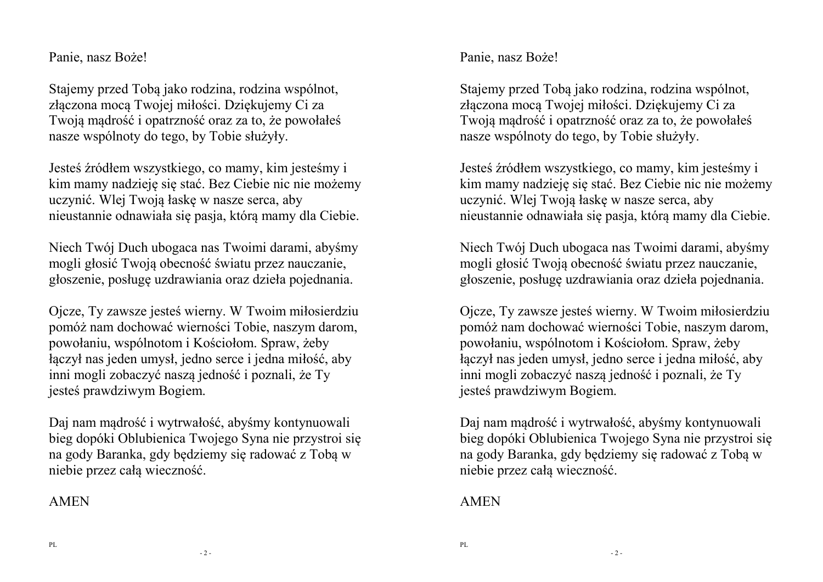Panie, nasz Boże!

Stajemy przed Tobą jako rodzina, rodzina wspólnot, złączona mocą Twojej miłości. Dziękujemy Ci za Twoją mądrość i opatrzność oraz za to, że powołałeśnasze wspólnoty do tego, by Tobie służyły.

Jesteś źródłem wszystkiego, co mamy, kim jesteśmy i kim mamy nadzieję się stać. Bez Ciebie nic nie możemy uczynić. Wlej Twoją łaskę w nasze serca, aby nieustannie odnawiała się pasja, którą mamy dla Ciebie.

Niech Twój Duch ubogaca nas Twoimi darami, abyśmy mogli głosić Twoją obecność światu przez nauczanie,głoszenie, posługę uzdrawiania oraz dzieła pojednania.

Ojcze, Ty zawsze jesteś wierny. W Twoim miłosierdziu pomóż nam dochować wierności Tobie, naszym darom, powołaniu, wspólnotom i Kościołom. Spraw, żeby łączył nas jeden umysł, jedno serce i jedna miłość, aby inni mogli zobaczyć naszą jedność i poznali, że Ty jesteś prawdziwym Bogiem.

Daj nam mądrość i wytrwałość, abyśmy kontynuowali bieg dopóki Oblubienica Twojego Syna nie przystroi się na gody Baranka, gdy będziemy się radować z Tobą w niebie przez całą wieczność.

#### AMEN

Panie, nasz Boże!

Stajemy przed Tobą jako rodzina, rodzina wspólnot, złączona mocą Twojej miłości. Dziękujemy Ci za Twoją mądrość i opatrzność oraz za to, że powołałeśnasze wspólnoty do tego, by Tobie służyły.

Jesteś źródłem wszystkiego, co mamy, kim jesteśmy i kim mamy nadzieję się stać. Bez Ciebie nic nie możemy uczynić. Wlej Twoją łaskę w nasze serca, aby nieustannie odnawiała się pasja, którą mamy dla Ciebie.

Niech Twój Duch ubogaca nas Twoimi darami, abyśmy mogli głosić Twoją obecność światu przez nauczanie,głoszenie, posługę uzdrawiania oraz dzieła pojednania.

Ojcze, Ty zawsze jesteś wierny. W Twoim miłosierdziu pomóż nam dochować wierności Tobie, naszym darom, powołaniu, wspólnotom i Kościołom. Spraw, żeby łączył nas jeden umysł, jedno serce i jedna miłość, aby inni mogli zobaczyć naszą jedność i poznali, że Ty jesteś prawdziwym Bogiem.

Daj nam mądrość i wytrwałość, abyśmy kontynuowali bieg dopóki Oblubienica Twojego Syna nie przystroi się na gody Baranka, gdy będziemy się radować z Tobą w niebie przez całą wieczność.

#### AMEN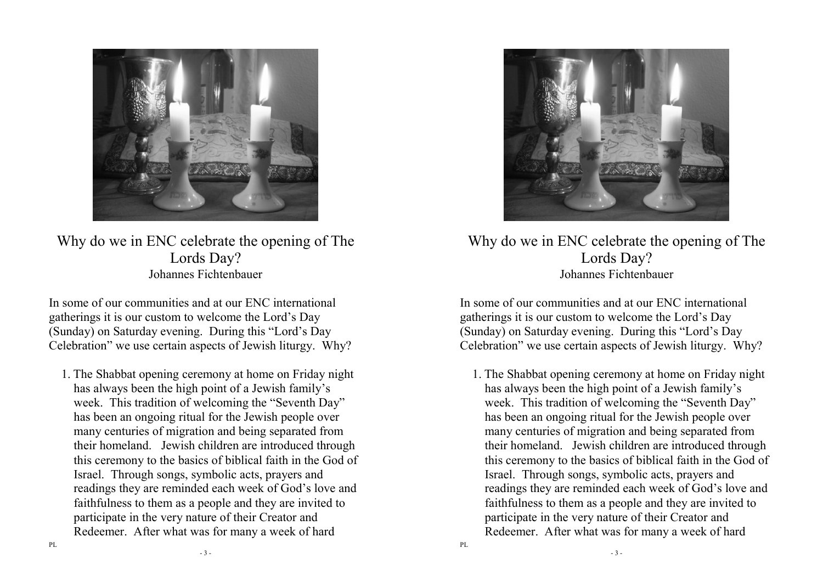

Why do we in ENC celebrate the opening of The Lords Day? Johannes Fichtenbauer

In some of our communities and at our ENC international gatherings it is our custom to welcome the Lord's Day (Sunday) on Saturday evening. During this "Lord's Day Celebration" we use certain aspects of Jewish liturgy. Why?

1. The Shabbat opening ceremony at home on Friday night has always been the high point of a Jewish family's week. This tradition of welcoming the "Seventh Day" has been an ongoing ritual for the Jewish people over many centuries of migration and being separated from their homeland. Jewish children are introduced through this ceremony to the basics of biblical faith in the God of Israel. Through songs, symbolic acts, prayers and readings they are reminded each week of God's love and faithfulness to them as a people and they are invited to participate in the very nature of their Creator andRedeemer. After what was for many a week of hard



Why do we in ENC celebrate the opening of The Lords Day? Johannes Fichtenbauer

In some of our communities and at our ENC international gatherings it is our custom to welcome the Lord's Day (Sunday) on Saturday evening. During this "Lord's Day Celebration" we use certain aspects of Jewish liturgy. Why?

1. The Shabbat opening ceremony at home on Friday night has always been the high point of a Jewish family's week. This tradition of welcoming the "Seventh Day" has been an ongoing ritual for the Jewish people over many centuries of migration and being separated from their homeland. Jewish children are introduced through this ceremony to the basics of biblical faith in the God of Israel. Through songs, symbolic acts, prayers and readings they are reminded each week of God's love and faithfulness to them as a people and they are invited to participate in the very nature of their Creator andRedeemer. After what was for many a week of hard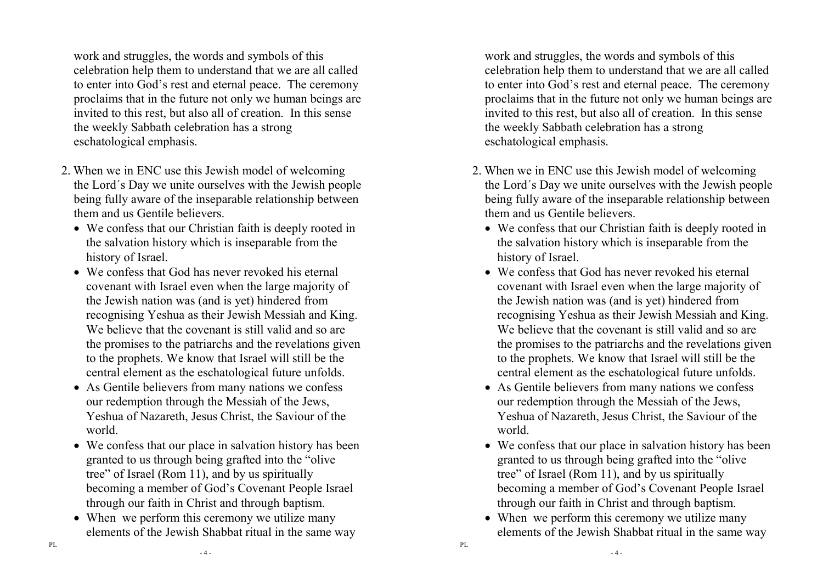work and struggles, the words and symbols of this celebration help them to understand that we are all called to enter into God's rest and eternal peace. The ceremony proclaims that in the future not only we human beings are invited to this rest, but also all of creation. In this sense the weekly Sabbath celebration has a strong eschatological emphasis.

- 2. When we in ENC use this Jewish model of welcoming the Lord´s Day we unite ourselves with the Jewish people being fully aware of the inseparable relationship between them and us Gentile believers.
	- We confess that our Christian faith is deeply rooted in the salvation history which is inseparable from thehistory of Israel.
	- We confess that God has never revoked his eternal covenant with Israel even when the large majority of the Jewish nation was (and is yet) hindered from recognising Yeshua as their Jewish Messiah and King. We believe that the covenant is still valid and so are the promises to the patriarchs and the revelations given to the prophets. We know that Israel will still be the central element as the eschatological future unfolds.
	- As Gentile believers from many nations we confess our redemption through the Messiah of the Jews, Yeshua of Nazareth, Jesus Christ, the Saviour of the world.
	- We confess that our place in salvation history has been granted to us through being grafted into the "olivetree" of Israel (Rom 11), and by us spiritually becoming a member of God's Covenant People Israel through our faith in Christ and through baptism.
	- When we perform this ceremony we utilize many elements of the Jewish Shabbat ritual in the same way

work and struggles, the words and symbols of this celebration help them to understand that we are all called to enter into God's rest and eternal peace. The ceremony proclaims that in the future not only we human beings are invited to this rest, but also all of creation. In this sense the weekly Sabbath celebration has a strong eschatological emphasis.

- 2. When we in ENC use this Jewish model of welcoming the Lord´s Day we unite ourselves with the Jewish people being fully aware of the inseparable relationship between them and us Gentile believers.
	- We confess that our Christian faith is deeply rooted in the salvation history which is inseparable from thehistory of Israel.
	- We confess that God has never revoked his eternal covenant with Israel even when the large majority of the Jewish nation was (and is yet) hindered from recognising Yeshua as their Jewish Messiah and King. We believe that the covenant is still valid and so are the promises to the patriarchs and the revelations given to the prophets. We know that Israel will still be the central element as the eschatological future unfolds.
	- As Gentile believers from many nations we confess our redemption through the Messiah of the Jews, Yeshua of Nazareth, Jesus Christ, the Saviour of the world.
	- We confess that our place in salvation history has been granted to us through being grafted into the "olivetree" of Israel (Rom 11), and by us spiritually becoming a member of God's Covenant People Israel through our faith in Christ and through baptism.
	- When we perform this ceremony we utilize many elements of the Jewish Shabbat ritual in the same way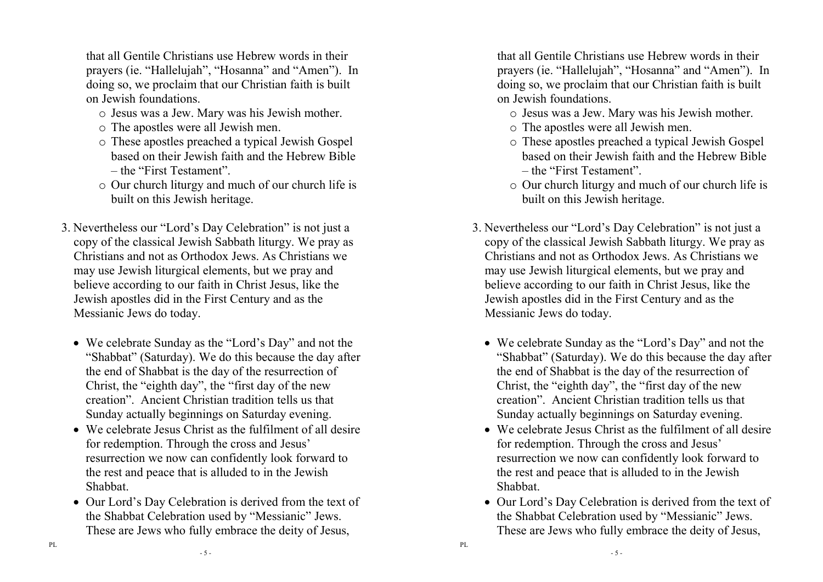that all Gentile Christians use Hebrew words in their prayers (ie. "Hallelujah", "Hosanna" and "Amen"). In doing so, we proclaim that our Christian faith is built on Jewish foundations.

- o Jesus was a Jew. Mary was his Jewish mother.
- o The apostles were all Jewish men.
- o These apostles preached a typical Jewish Gospel based on their Jewish faith and the Hebrew Bible – the "First Testament".
- o Our church liturgy and much of our church life is built on this Jewish heritage.
- 3. Nevertheless our "Lord's Day Celebration" is not just a copy of the classical Jewish Sabbath liturgy. We pray as Christians and not as Orthodox Jews. As Christians we may use Jewish liturgical elements, but we pray and believe according to our faith in Christ Jesus, like the Jewish apostles did in the First Century and as theMessianic Jews do today.
	- We celebrate Sunday as the "Lord's Day" and not the "Shabbat" (Saturday). We do this because the day after the end of Shabbat is the day of the resurrection of Christ, the "eighth day", the "first day of the new creation". Ancient Christian tradition tells us that Sunday actually beginnings on Saturday evening.
	- We celebrate Jesus Christ as the fulfilment of all desire for redemption. Through the cross and Jesus' resurrection we now can confidently look forward tothe rest and peace that is alluded to in the JewishShabbat.
	- Our Lord's Day Celebration is derived from the text of the Shabbat Celebration used by "Messianic" Jews. These are Jews who fully embrace the deity of Jesus,

that all Gentile Christians use Hebrew words in their prayers (ie. "Hallelujah", "Hosanna" and "Amen"). In doing so, we proclaim that our Christian faith is built on Jewish foundations.

- o Jesus was a Jew. Mary was his Jewish mother.
- o The apostles were all Jewish men.
- o These apostles preached a typical Jewish Gospel based on their Jewish faith and the Hebrew Bible – the "First Testament".
- o Our church liturgy and much of our church life is built on this Jewish heritage.
- 3. Nevertheless our "Lord's Day Celebration" is not just a copy of the classical Jewish Sabbath liturgy. We pray as Christians and not as Orthodox Jews. As Christians we may use Jewish liturgical elements, but we pray and believe according to our faith in Christ Jesus, like the Jewish apostles did in the First Century and as theMessianic Jews do today.
	- We celebrate Sunday as the "Lord's Day" and not the "Shabbat" (Saturday). We do this because the day after the end of Shabbat is the day of the resurrection of Christ, the "eighth day", the "first day of the new creation". Ancient Christian tradition tells us that Sunday actually beginnings on Saturday evening.
	- We celebrate Jesus Christ as the fulfilment of all desire for redemption. Through the cross and Jesus' resurrection we now can confidently look forward tothe rest and peace that is alluded to in the JewishShabbat.
	- Our Lord's Day Celebration is derived from the text of the Shabbat Celebration used by "Messianic" Jews. These are Jews who fully embrace the deity of Jesus,

PL

- 5 -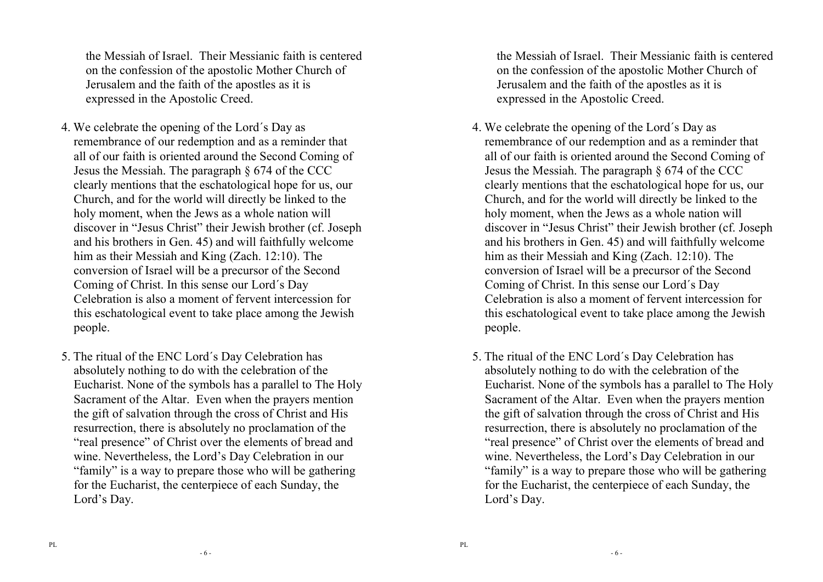the Messiah of Israel. Their Messianic faith is centered on the confession of the apostolic Mother Church ofJerusalem and the faith of the apostles as it is expressed in the Apostolic Creed.

- 4. We celebrate the opening of the Lord´s Day as remembrance of our redemption and as a reminder that all of our faith is oriented around the Second Coming of Jesus the Messiah. The paragraph § 674 of the CCC clearly mentions that the eschatological hope for us, our Church, and for the world will directly be linked to the holy moment, when the Jews as a whole nation will discover in "Jesus Christ" their Jewish brother (cf. Joseph and his brothers in Gen. 45) and will faithfully welcome him as their Messiah and King (Zach. 12:10). The conversion of Israel will be a precursor of the Second Coming of Christ. In this sense our Lord´s Day Celebration is also a moment of fervent intercession for this eschatological event to take place among the Jewish people.
- 5. The ritual of the ENC Lord´s Day Celebration has absolutely nothing to do with the celebration of the Eucharist. None of the symbols has a parallel to The Holy Sacrament of the Altar. Even when the prayers mention the gift of salvation through the cross of Christ and His resurrection, there is absolutely no proclamation of the "real presence" of Christ over the elements of bread and wine. Nevertheless, the Lord's Day Celebration in our "family" is a way to prepare those who will be gathering for the Eucharist, the centerpiece of each Sunday, the Lord's Day.

the Messiah of Israel. Their Messianic faith is centered on the confession of the apostolic Mother Church ofJerusalem and the faith of the apostles as it is expressed in the Apostolic Creed.

- 4. We celebrate the opening of the Lord´s Day as remembrance of our redemption and as a reminder that all of our faith is oriented around the Second Coming of Jesus the Messiah. The paragraph § 674 of the CCC clearly mentions that the eschatological hope for us, our Church, and for the world will directly be linked to the holy moment, when the Jews as a whole nation will discover in "Jesus Christ" their Jewish brother (cf. Joseph and his brothers in Gen. 45) and will faithfully welcome him as their Messiah and King (Zach. 12:10). The conversion of Israel will be a precursor of the Second Coming of Christ. In this sense our Lord´s Day Celebration is also a moment of fervent intercession for this eschatological event to take place among the Jewish people.
- 5. The ritual of the ENC Lord´s Day Celebration has absolutely nothing to do with the celebration of the Eucharist. None of the symbols has a parallel to The Holy Sacrament of the Altar. Even when the prayers mention the gift of salvation through the cross of Christ and His resurrection, there is absolutely no proclamation of the "real presence" of Christ over the elements of bread and wine. Nevertheless, the Lord's Day Celebration in our "family" is a way to prepare those who will be gathering for the Eucharist, the centerpiece of each Sunday, the Lord's Day.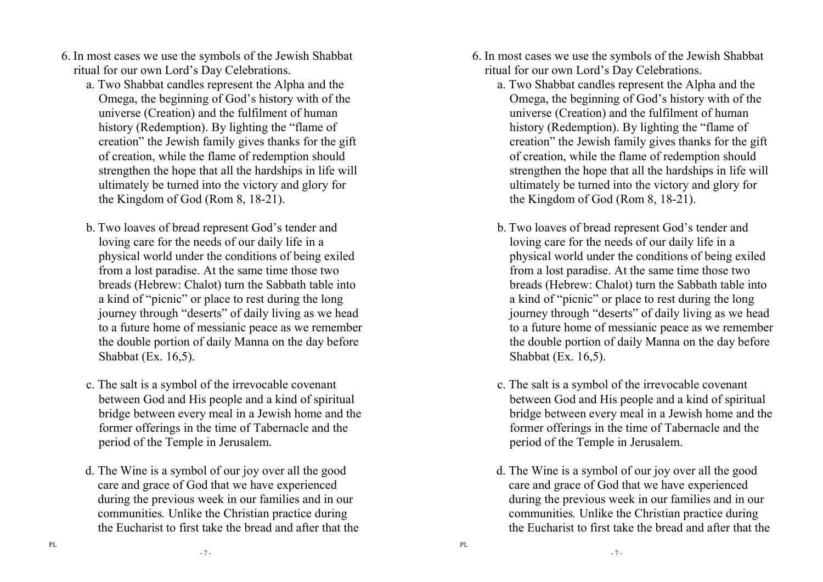- 6. In most cases we use the symbols of the Jewish Shabbat ritual for our own Lord's Day Celebrations.
	- a. Two Shabbat candles represent the Alpha and the Omega, the beginning of God's history with of the universe (Creation) and the fulfilment of human history (Redemption). By lighting the "flame of creation" the Jewish family gives thanks for the gift of creation, while the flame of redemption should strengthen the hope that all the hardships in life will ultimately be turned into the victory and glory forthe Kingdom of God (Rom 8, 18-21).
	- b. Two loaves of bread represent God's tender and loving care for the needs of our daily life in a physical world under the conditions of being exiledfrom a lost paradise. At the same time those two breads (Hebrew: Chalot) turn the Sabbath table intoa kind of "picnic" or place to rest during the long journey through "deserts" of daily living as we head to a future home of messianic peace as we remember the double portion of daily Manna on the day beforeShabbat (Ex. 16,5).
	- c. The salt is a symbol of the irrevocable covenant between God and His people and a kind of spiritual bridge between every meal in a Jewish home and the former offerings in the time of Tabernacle and the period of the Temple in Jerusalem.
	- d. The Wine is a symbol of our joy over all the good care and grace of God that we have experienced during the previous week in our families and in our communities*.* Unlike the Christian practice during the Eucharist to first take the bread and after that the
- 6. In most cases we use the symbols of the Jewish Shabbat ritual for our own Lord's Day Celebrations.
	- a. Two Shabbat candles represent the Alpha and the Omega, the beginning of God's history with of the universe (Creation) and the fulfilment of human history (Redemption). By lighting the "flame of creation" the Jewish family gives thanks for the gift of creation, while the flame of redemption should strengthen the hope that all the hardships in life will ultimately be turned into the victory and glory forthe Kingdom of God (Rom 8, 18-21).
	- b. Two loaves of bread represent God's tender and loving care for the needs of our daily life in a physical world under the conditions of being exiledfrom a lost paradise. At the same time those two breads (Hebrew: Chalot) turn the Sabbath table intoa kind of "picnic" or place to rest during the long journey through "deserts" of daily living as we head to a future home of messianic peace as we remember the double portion of daily Manna on the day beforeShabbat (Ex. 16,5).
	- c. The salt is a symbol of the irrevocable covenant between God and His people and a kind of spiritual bridge between every meal in a Jewish home and the former offerings in the time of Tabernacle and the period of the Temple in Jerusalem.
	- d. The Wine is a symbol of our joy over all the good care and grace of God that we have experienced during the previous week in our families and in our communities*.* Unlike the Christian practice during the Eucharist to first take the bread and after that the

 $-7 -$ 

- 7 -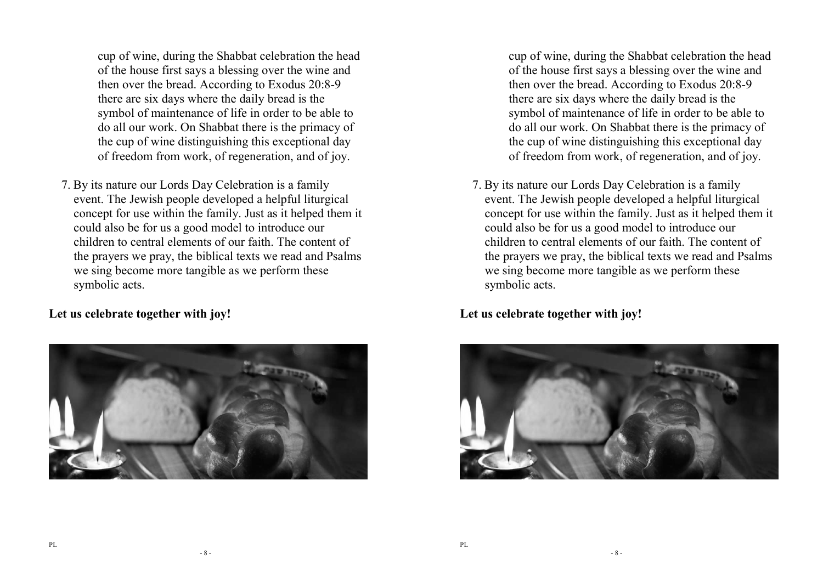cup of wine, during the Shabbat celebration the head of the house first says a blessing over the wine and then over the bread. According to Exodus 20:8-9 there are six days where the daily bread is the symbol of maintenance of life in order to be able to do all our work. On Shabbat there is the primacy of the cup of wine distinguishing this exceptional dayof freedom from work, of regeneration, and of joy.

7. By its nature our Lords Day Celebration is a family event. The Jewish people developed a helpful liturgical concept for use within the family. Just as it helped them it could also be for us a good model to introduce our children to central elements of our faith. The content of the prayers we pray, the biblical texts we read and Psalms we sing become more tangible as we perform these symbolic acts.

**Let us celebrate together with joy!** 



cup of wine, during the Shabbat celebration the head of the house first says a blessing over the wine and then over the bread. According to Exodus 20:8-9 there are six days where the daily bread is the symbol of maintenance of life in order to be able to do all our work. On Shabbat there is the primacy of the cup of wine distinguishing this exceptional dayof freedom from work, of regeneration, and of joy.

7. By its nature our Lords Day Celebration is a family event. The Jewish people developed a helpful liturgical concept for use within the family. Just as it helped them it could also be for us a good model to introduce our children to central elements of our faith. The content of the prayers we pray, the biblical texts we read and Psalms we sing become more tangible as we perform these symbolic acts.

**Let us celebrate together with joy!** 

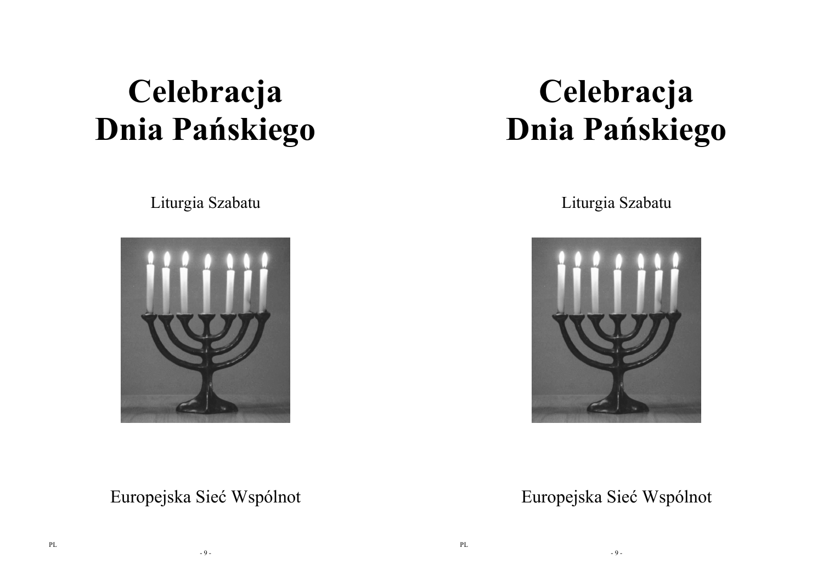# **Celebracja Dnia Pańskiego**

Liturgia Szabatu



**Celebracja Dnia Pańskiego** 

Liturgia Szabatu



Europejska Sieć Wspólnot

Europejska Sieć Wspólnot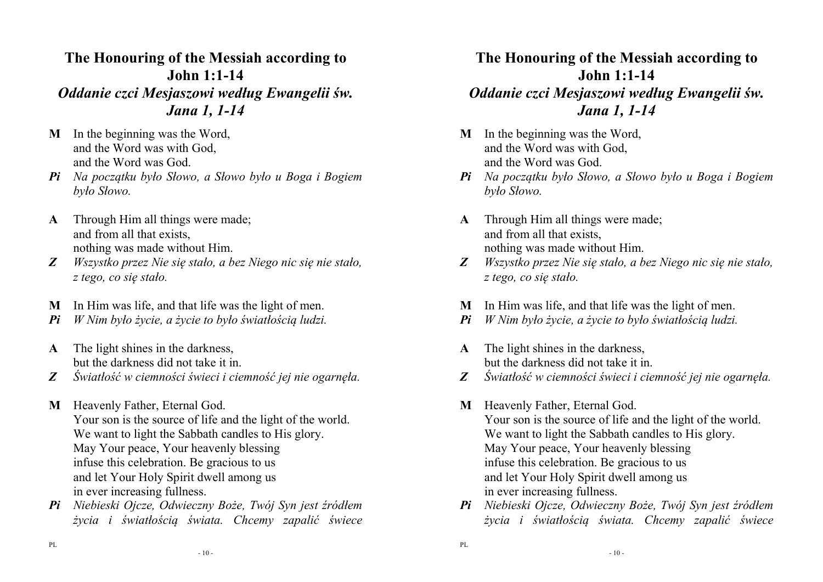#### **The Honouring of the Messiah according to John 1:1-14** *Oddanie czci Mesjaszowi według Ewangelii św. Jana 1, 1-14*

- **M** In the beginning was the Word, and the Word was with God, and the Word was God.
- *Pi Na początku było Słowo, a Słowo było u Boga i Bogiem było Słowo.*
- **A** Through Him all things were made; and from all that exists, nothing was made without Him.
- *Z Wszystko przez Nie się stało, a bez Niego nic się nie stało, z tego, co się stało.*
- **M** In Him was life, and that life was the light of men.
- *Pi W Nim było życie, a życie to było światłością ludzi.*
- **A** The light shines in the darkness, but the darkness did not take it in.
- *Z Światłość w ciemności świeci i ciemność jej nie ogarnęła.*
- **M** Heavenly Father, Eternal God. Your son is the source of life and the light of the world. We want to light the Sabbath candles to His glory. May Your peace, Your heavenly blessing infuse this celebration. Be gracious to us and let Your Holy Spirit dwell among us in ever increasing fullness.
- *Pi Niebieski Ojcze, Odwieczny Boże, Twój Syn jest źródłem życia i światłością świata. Chcemy zapalić świece*

# **The Honouring of the Messiah according to John 1:1-14**

#### *Oddanie czci Mesjaszowi według Ewangelii św. Jana 1, 1-14*

- **M** In the beginning was the Word, and the Word was with God, and the Word was God.
- *Pi Na początku było Słowo, a Słowo było u Boga i Bogiem było Słowo.*
- **A** Through Him all things were made; and from all that exists, nothing was made without Him.
- *Z Wszystko przez Nie się stało, a bez Niego nic się nie stało, z tego, co się stało.*
- **M** In Him was life, and that life was the light of men.
- *Pi W Nim było życie, a życie to było światłością ludzi.*
- **A** The light shines in the darkness, but the darkness did not take it in.
- *Z Światłość w ciemności świeci i ciemność jej nie ogarnęła.*
- **M** Heavenly Father, Eternal God. Your son is the source of life and the light of the world. We want to light the Sabbath candles to His glory. May Your peace, Your heavenly blessing infuse this celebration. Be gracious to us and let Your Holy Spirit dwell among us in ever increasing fullness.
- *Pi Niebieski Ojcze, Odwieczny Boże, Twój Syn jest źródłem życia i światłością świata. Chcemy zapalić świece*

- 10 -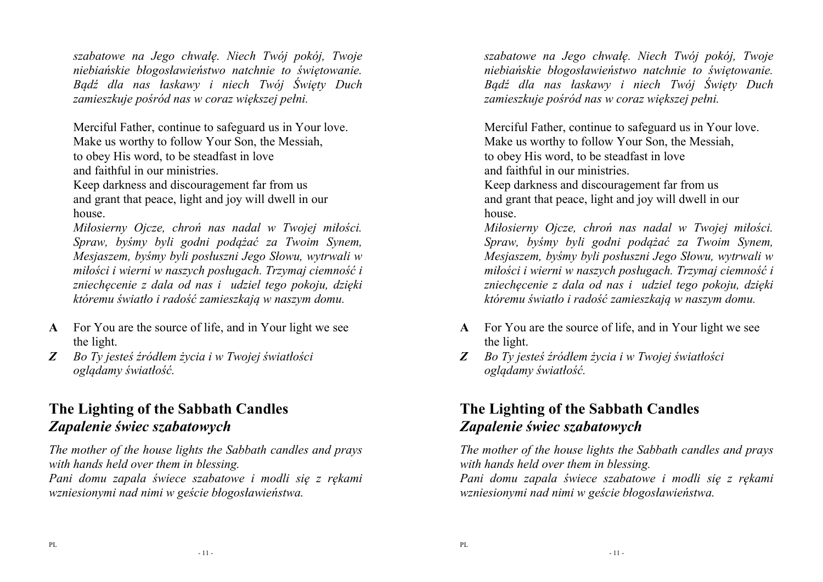*szabatowe na Jego chwałę. Niech Twój pokój, Twoje niebiańskie błogosławieństwo natchnie to świętowanie. Bądź dla nas łaskawy i niech Twój Święty Duch zamieszkuje pośród nas w coraz większej pełni.* 

Merciful Father, continue to safeguard us in Your love. Make us worthy to follow Your Son, the Messiah, to obey His word, to be steadfast in love and faithful in our ministries.

Keep darkness and discouragement far from us and grant that peace, light and joy will dwell in our house.

*Miłosierny Ojcze, chroń nas nadal w Twojej miłości.Spraw, byśmy byli godni podążać za Twoim Synem, Mesjaszem, byśmy byli posłuszni Jego Słowu, wytrwali w miłości i wierni w naszych posługach. Trzymaj ciemność i zniechęcenie z dala od nas i udziel tego pokoju, dzięki któremu światło i radość zamieszkają w naszym domu.*

- **A** For You are the source of life, and in Your light we see the light.
- *Z Bo Ty jesteś źródłem życia i w Twojej światłości oglądamy światłość.*

# **The Lighting of the Sabbath Candles** *Zapalenie świec szabatowych*

*The mother of the house lights the Sabbath candles and prays with hands held over them in blessing.* 

*Pani domu zapala świece szabatowe i modli się z rękami wzniesionymi nad nimi w geście błogosławieństwa.* 

*szabatowe na Jego chwałę. Niech Twój pokój, Twoje niebiańskie błogosławieństwo natchnie to świętowanie. Bądź dla nas łaskawy i niech Twój Święty Duch zamieszkuje pośród nas w coraz większej pełni.* 

Merciful Father, continue to safeguard us in Your love. Make us worthy to follow Your Son, the Messiah, to obey His word, to be steadfast in love and faithful in our ministries.

Keep darkness and discouragement far from us and grant that peace, light and joy will dwell in our house.

*Miłosierny Ojcze, chroń nas nadal w Twojej miłości. Spraw, byśmy byli godni podążać za Twoim Synem, Mesjaszem, byśmy byli posłuszni Jego Słowu, wytrwali w miłości i wierni w naszych posługach. Trzymaj ciemność i zniechęcenie z dala od nas i udziel tego pokoju, dzięki któremu światło i radość zamieszkają w naszym domu.*

- **A** For You are the source of life, and in Your light we see the light.
- *Z Bo Ty jesteś źródłem życia i w Twojej światłości oglądamy światłość.*

# **The Lighting of the Sabbath Candles** *Zapalenie świec szabatowych*

*The mother of the house lights the Sabbath candles and prays with hands held over them in blessing.* 

*Pani domu zapala świece szabatowe i modli się z rękami wzniesionymi nad nimi w geście błogosławieństwa.*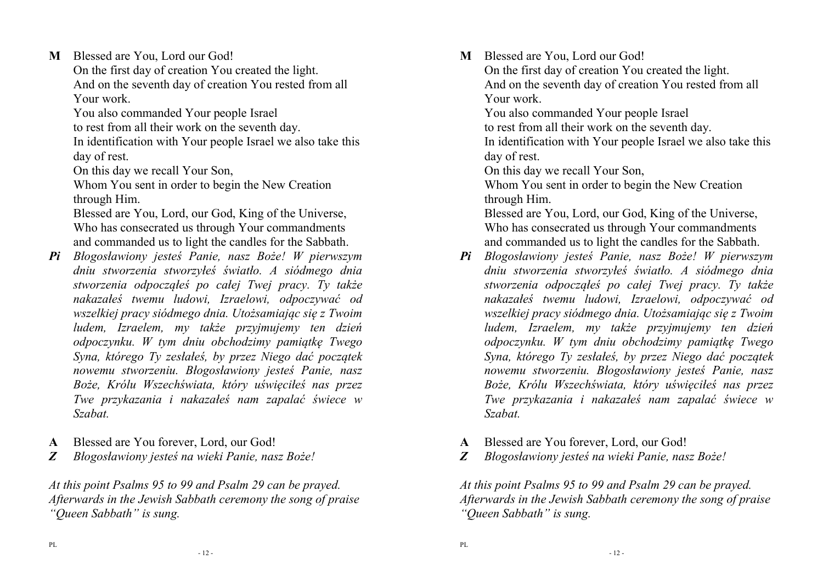**M** Blessed are You, Lord our God!

 On the first day of creation You created the light. And on the seventh day of creation You rested from all Your work.

You also commanded Your people Israel

to rest from all their work on the seventh day.

 In identification with Your people Israel we also take this day of rest.

On this day we recall Your Son,

 Whom You sent in order to begin the New Creation through Him.

 Blessed are You, Lord, our God, King of the Universe, Who has consecrated us through Your commandments and commanded us to light the candles for the Sabbath.

- *Pi Błogosławiony jesteś Panie, nasz Boże! W pierwszym dniu stworzenia stworzyłeś światło. A siódmego dnia stworzenia odpocząłeś po całej Twej pracy. Ty także nakazałeś twemu ludowi, Izraelowi, odpoczywać od wszelkiej pracy siódmego dnia. Utożsamiając się z Twoim ludem, Izraelem, my także przyjmujemy ten dzień odpoczynku. W tym dniu obchodzimy pamiątkę Twego Syna, którego Ty zesłałeś, by przez Niego dać początek nowemu stworzeniu. Błogosławiony jesteś Panie, nasz Boże, Królu Wszechświata, który uświęciłeś nas przez Twe przykazania i nakazałeś nam zapalać świece w Szabat.*
- **A** Blessed are You forever, Lord, our God!
- *Z Błogosławiony jesteś na wieki Panie, nasz Boże!*

*At this point Psalms 95 to 99 and Psalm 29 can be prayed. Afterwards in the Jewish Sabbath ceremony the song of praise "Queen Sabbath" is sung.*

**M** Blessed are You, Lord our God!

 On the first day of creation You created the light. And on the seventh day of creation You rested from all Your work.

You also commanded Your people Israel

to rest from all their work on the seventh day.

 In identification with Your people Israel we also take this day of rest.

On this day we recall Your Son,

 Whom You sent in order to begin the New Creation through Him.

 Blessed are You, Lord, our God, King of the Universe, Who has consecrated us through Your commandments and commanded us to light the candles for the Sabbath.

- *Pi Błogosławiony jesteś Panie, nasz Boże! W pierwszym dniu stworzenia stworzyłeś światło. A siódmego dnia stworzenia odpocząłeś po całej Twej pracy. Ty także nakazałeś twemu ludowi, Izraelowi, odpoczywać od wszelkiej pracy siódmego dnia. Utożsamiając się z Twoim ludem, Izraelem, my także przyjmujemy ten dzień odpoczynku. W tym dniu obchodzimy pamiątkę Twego Syna, którego Ty zesłałeś, by przez Niego dać początek nowemu stworzeniu. Błogosławiony jesteś Panie, nasz Boże, Królu Wszechświata, który uświęciłeś nas przez Twe przykazania i nakazałeś nam zapalać świece w Szabat.*
- **A** Blessed are You forever, Lord, our God!
- *Z Błogosławiony jesteś na wieki Panie, nasz Boże!*

*At this point Psalms 95 to 99 and Psalm 29 can be prayed. Afterwards in the Jewish Sabbath ceremony the song of praise "Queen Sabbath" is sung.*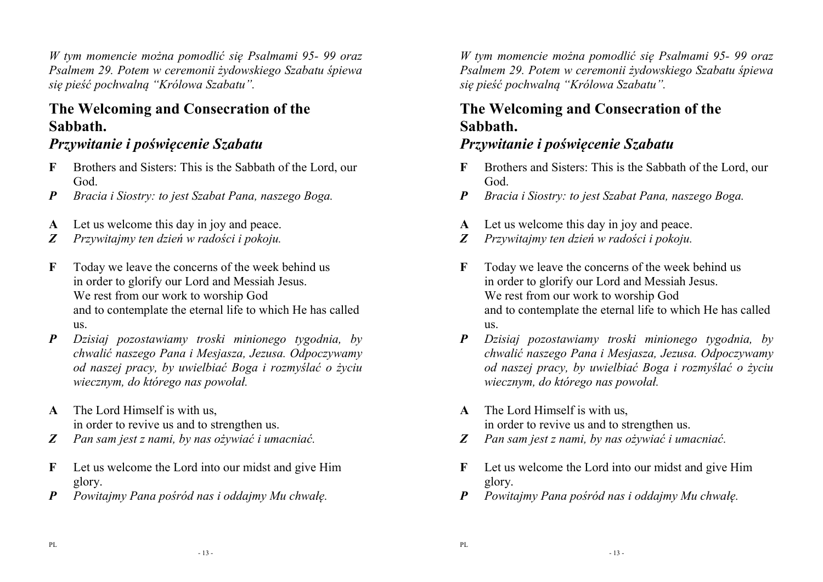*W tym momencie można pomodlić się Psalmami 95- 99 oraz Psalmem 29. Potem w ceremonii żydowskiego Szabatu śpiewa się pieść pochwalną "Królowa Szabatu".* 

# **The Welcoming and Consecration of the Sabbath.**

# *Przywitanie i poświęcenie Szabatu*

- **F** Brothers and Sisters: This is the Sabbath of the Lord, our God.
- *P Bracia i Siostry: to jest Szabat Pana, naszego Boga.*
- **A** Let us welcome this day in joy and peace.
- *Z Przywitajmy ten dzień w radości i pokoju.*
- **F** Today we leave the concerns of the week behind us in order to glorify our Lord and Messiah Jesus. We rest from our work to worship God and to contemplate the eternal life to which He has called  $\overline{\mathbf{u}}$
- *P Dzisiaj pozostawiamy troski minionego tygodnia, by chwalić naszego Pana i Mesjasza, Jezusa. Odpoczywamy od naszej pracy, by uwielbiać Boga i rozmyślać o życiu wiecznym, do którego nas powołał.*
- **A** The Lord Himself is with us, in order to revive us and to strengthen us.
- *Z Pan sam jest z nami, by nas ożywiać i umacniać.*
- **F** Let us welcome the Lord into our midst and give Him glory.
- *P Powitajmy Pana pośród nas i oddajmy Mu chwałę.*

*W tym momencie można pomodlić się Psalmami 95- 99 oraz Psalmem 29. Potem w ceremonii żydowskiego Szabatu śpiewa się pieść pochwalną "Królowa Szabatu".* 

### **The Welcoming and Consecration of the Sabbath.**

#### *Przywitanie i poświęcenie Szabatu*

- **F** Brothers and Sisters: This is the Sabbath of the Lord, our God.
- *P Bracia i Siostry: to jest Szabat Pana, naszego Boga.*
- **A** Let us welcome this day in joy and peace.
- *Z Przywitajmy ten dzień w radości i pokoju.*
- **F** Today we leave the concerns of the week behind us in order to glorify our Lord and Messiah Jesus. We rest from our work to worship God and to contemplate the eternal life to which He has called  $\overline{u}$
- *P Dzisiaj pozostawiamy troski minionego tygodnia, by chwalić naszego Pana i Mesjasza, Jezusa. Odpoczywamy od naszej pracy, by uwielbiać Boga i rozmyślać o życiu wiecznym, do którego nas powołał.*
- **A** The Lord Himself is with us, in order to revive us and to strengthen us.
- *Z Pan sam jest z nami, by nas ożywiać i umacniać.*
- **F** Let us welcome the Lord into our midst and give Him glory.
- *P Powitajmy Pana pośród nas i oddajmy Mu chwałę.*

- 13 -

- 13 -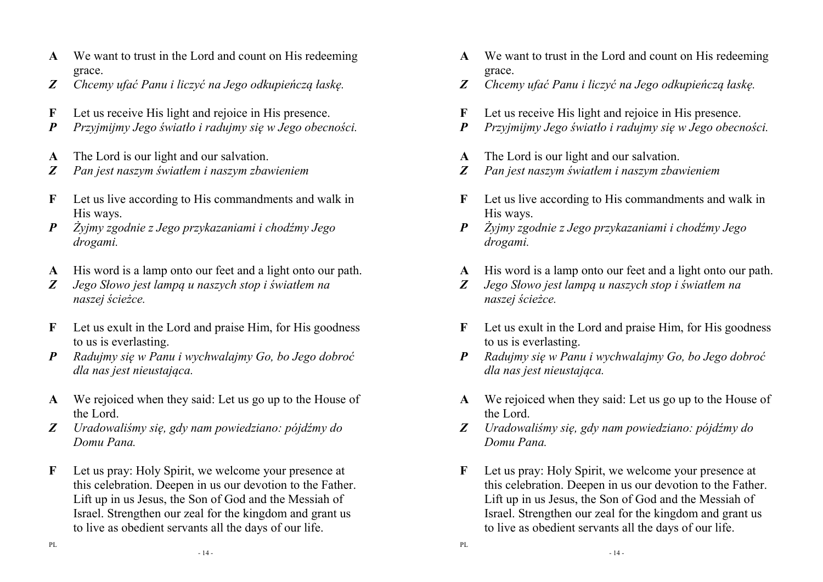- **A** We want to trust in the Lord and count on His redeeming grace.
- *Z Chcemy ufać Panu i liczyć na Jego odkupieńczą łaskę.*
- **F** Let us receive His light and rejoice in His presence.
- *P Przyjmijmy Jego światło i radujmy się w Jego obecności.*
- **A** The Lord is our light and our salvation.
- *Z Pan jest naszym światłem i naszym zbawieniem*
- **F** Let us live according to His commandments and walk in His ways.
- *P Żyjmy zgodnie z Jego przykazaniami i chodźmy Jego drogami.*
- **A** His word is a lamp onto our feet and a light onto our path.
- *Z Jego Słowo jest lampą u naszych stop i światłem nanaszej ścieżce.*
- **F** Let us exult in the Lord and praise Him, for His goodness to us is everlasting.
- *P Radujmy się w Panu i wychwalajmy Go, bo Jego dobroć dla nas jest nieustająca.*
- **A** We rejoiced when they said: Let us go up to the House of the Lord.
- *Z Uradowaliśmy się, gdy nam powiedziano: pójdźmy do Domu Pana.*
- **F** Let us pray: Holy Spirit, we welcome your presence at this celebration. Deepen in us our devotion to the Father. Lift up in us Jesus, the Son of God and the Messiah of Israel. Strengthen our zeal for the kingdom and grant us to live as obedient servants all the days of our life.
- **A** We want to trust in the Lord and count on His redeeming grace.
- *Z Chcemy ufać Panu i liczyć na Jego odkupieńczą łaskę.*
- **F** Let us receive His light and rejoice in His presence.
- *P Przyjmijmy Jego światło i radujmy się w Jego obecności.*
- **A** The Lord is our light and our salvation.
- *Z Pan jest naszym światłem i naszym zbawieniem*
- **F** Let us live according to His commandments and walk in His ways.
- *P Żyjmy zgodnie z Jego przykazaniami i chodźmy Jego drogami.*
- **A** His word is a lamp onto our feet and a light onto our path.
- *Z Jego Słowo jest lampą u naszych stop i światłem nanaszej ścieżce.*
- **F** Let us exult in the Lord and praise Him, for His goodness to us is everlasting.
- *P Radujmy się w Panu i wychwalajmy Go, bo Jego dobroć dla nas jest nieustająca.*
- **A** We rejoiced when they said: Let us go up to the House of the Lord.
- *Z Uradowaliśmy się, gdy nam powiedziano: pójdźmy do Domu Pana.*
- **F** Let us pray: Holy Spirit, we welcome your presence at this celebration. Deepen in us our devotion to the Father. Lift up in us Jesus, the Son of God and the Messiah of Israel. Strengthen our zeal for the kingdom and grant us to live as obedient servants all the days of our life.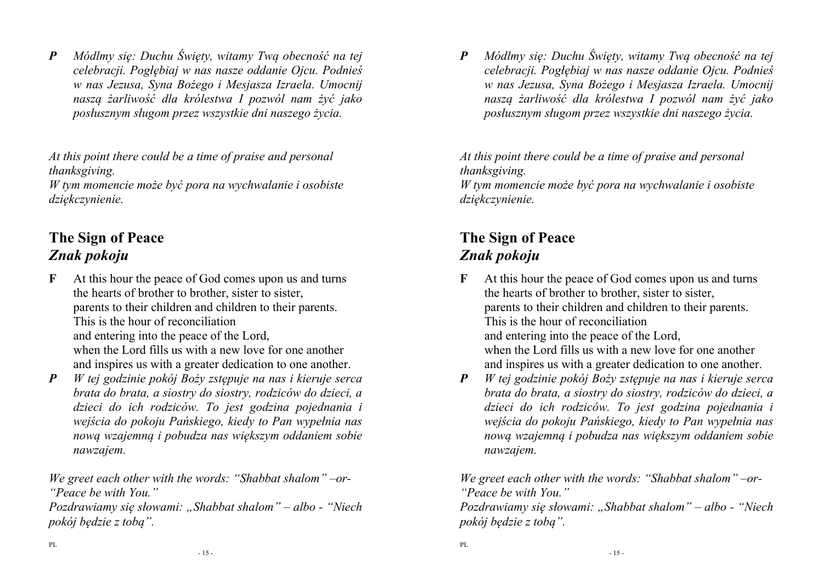*P Módlmy się: Duchu Święty, witamy Twą obecność na tej celebracji. Pogłębiaj w nas nasze oddanie Ojcu. Podnieś w nas Jezusa, Syna Bożego i Mesjasza Izraela. Umocnij naszą żarliwość dla królestwa I pozwól nam żyć jakoposłusznym sługom przez wszystkie dni naszego życia. At this point there could be a time of praise and personal* 

*thanksgiving.* 

 *W tym momencie może być pora na wychwalanie i osobiste dziękczynienie.* 

# **The Sign of Peace** *Znak pokoju*

- **F** At this hour the peace of God comes upon us and turns the hearts of brother to brother, sister to sister, parents to their children and children to their parents. This is the hour of reconciliation and entering into the peace of the Lord, when the Lord fills us with a new love for one another and inspires us with a greater dedication to one another.
- *P W tej godzinie pokój Boży zstępuje na nas i kieruje serca brata do brata, a siostry do siostry, rodziców do dzieci, a dzieci do ich rodziców. To jest godzina pojednania i wejścia do pokoju Pańskiego, kiedy to Pan wypełnia nas nową wzajemną i pobudza nas większym oddaniem sobie nawzajem.*

*We greet each other with the words: "Shabbat shalom" –or- "Peace be with You."* 

*Pozdrawiamy się słowami: "Shabbat shalom" – albo - "Niech pokój będzie z tobą".* 

*P Módlmy się: Duchu Święty, witamy Twą obecność na tej celebracji. Pogłębiaj w nas nasze oddanie Ojcu. Podnieś w nas Jezusa, Syna Bożego i Mesjasza Izraela. Umocnij naszą żarliwość dla królestwa I pozwól nam żyć jakoposłusznym sługom przez wszystkie dni naszego życia. At this point there could be a time of praise and personal* 

*thanksgiving.* 

*W tym momencie może być pora na wychwalanie i osobiste dziękczynienie.* 

# **The Sign of Peace** *Znak pokoju*

- **F** At this hour the peace of God comes upon us and turns the hearts of brother to brother, sister to sister, parents to their children and children to their parents. This is the hour of reconciliation and entering into the peace of the Lord, when the Lord fills us with a new love for one another and inspires us with a greater dedication to one another.
- *P W tej godzinie pokój Boży zstępuje na nas i kieruje serca brata do brata, a siostry do siostry, rodziców do dzieci, a dzieci do ich rodziców. To jest godzina pojednania i wejścia do pokoju Pańskiego, kiedy to Pan wypełnia nas nową wzajemną i pobudza nas większym oddaniem sobie nawzajem.*

*We greet each other with the words: "Shabbat shalom" –or- "Peace be with You."* 

*Pozdrawiamy się słowami: "Shabbat shalom" – albo - "Niech pokój będzie z tobą".*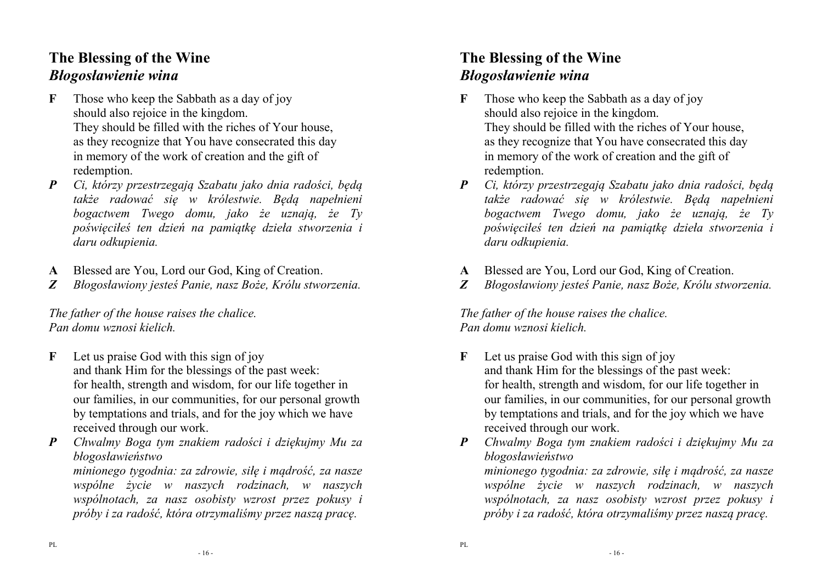#### **The Blessing of the Wine** *Błogosławienie wina*

- **F** Those who keep the Sabbath as a day of joy should also rejoice in the kingdom. They should be filled with the riches of Your house, as they recognize that You have consecrated this day in memory of the work of creation and the gift of redemption.
- *P Ci, którzy przestrzegają Szabatu jako dnia radości, będą także radować się w królestwie. Będą napełnieni bogactwem Twego domu, jako że uznają, że Ty poświęciłeś ten dzień na pamiątkę dzieła stworzenia i daru odkupienia.*
- **A** Blessed are You, Lord our God, King of Creation.
- *Z Błogosławiony jesteś Panie, nasz Boże, Królu stworzenia.*

*The father of the house raises the chalice. Pan domu wznosi kielich.* 

- **F** Let us praise God with this sign of joy and thank Him for the blessings of the past week: for health, strength and wisdom, for our life together in our families, in our communities, for our personal growth by temptations and trials, and for the joy which we have received through our work.
- *P Chwalmy Boga tym znakiem radości i dziękujmy Mu za błogosławieństwo*

*minionego tygodnia: za zdrowie, siłę i mądrość, za nasze wspólne życie w naszych rodzinach, w naszych wspólnotach, za nasz osobisty wzrost przez pokusy ipróby i za radość, która otrzymaliśmy przez naszą pracę.* 

# **The Blessing of the Wine** *Błogosławienie wina*

- **F** Those who keep the Sabbath as a day of joy should also rejoice in the kingdom. They should be filled with the riches of Your house, as they recognize that You have consecrated this day in memory of the work of creation and the gift of redemption.
- *P Ci, którzy przestrzegają Szabatu jako dnia radości, będą także radować się w królestwie. Będą napełnieni bogactwem Twego domu, jako że uznają, że Ty poświęciłeś ten dzień na pamiątkę dzieła stworzenia i daru odkupienia.*
- **A** Blessed are You, Lord our God, King of Creation.
- *Z Błogosławiony jesteś Panie, nasz Boże, Królu stworzenia.*

*The father of the house raises the chalice. Pan domu wznosi kielich.* 

**F** Let us praise God with this sign of joy and thank Him for the blessings of the past week: for health, strength and wisdom, for our life together in our families, in our communities, for our personal growth by temptations and trials, and for the joy which we have received through our work.

*P Chwalmy Boga tym znakiem radości i dziękujmy Mu za błogosławieństwo minionego tygodnia: za zdrowie, siłę i mądrość, za nasze wspólne życie w naszych rodzinach, w naszych wspólnotach, za nasz osobisty wzrost przez pokusy ipróby i za radość, która otrzymaliśmy przez naszą pracę.*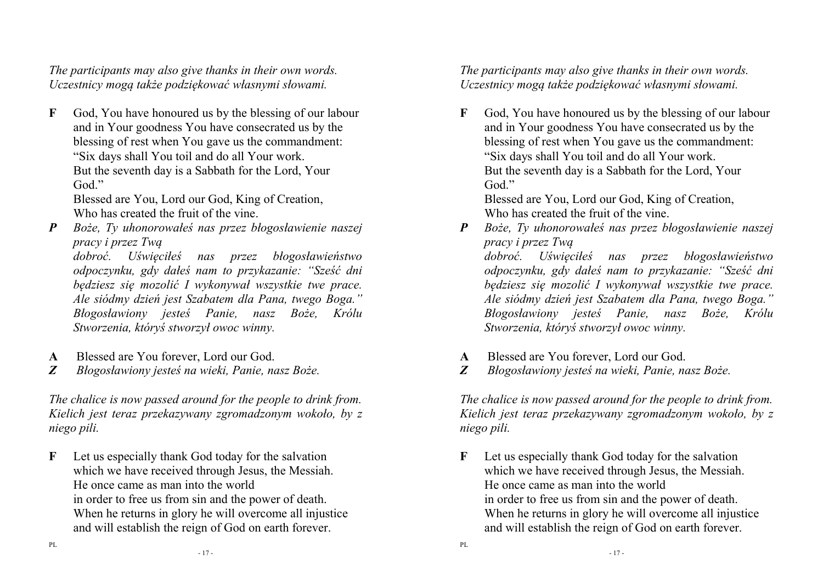*The participants may also give thanks in their own words. Uczestnicy mogą także podziękować własnymi słowami.*

**F** God, You have honoured us by the blessing of our labour and in Your goodness You have consecrated us by the blessing of rest when You gave us the commandment:"Six days shall You toil and do all Your work. But the seventh day is a Sabbath for the Lord, YourGod."

Blessed are You, Lord our God, King of Creation, Who has created the fruit of the vine.

*P Boże, Ty uhonorowałeś nas przez błogosławienie naszej pracy i przez Twą* 

*dobroć. Uświęciłeś nas przez błogosławieństwo odpoczynku, gdy dałeś nam to przykazanie: "Sześć dni będziesz się mozolić I wykonywał wszystkie twe prace. Ale siódmy dzień jest Szabatem dla Pana, twego Boga." Błogosławiony jesteś Panie, nasz Boże, Królu Stworzenia, któryś stworzył owoc winny.* 

- **A** Blessed are You forever, Lord our God.
- *Z Błogosławiony jesteś na wieki, Panie, nasz Boże.*

*The chalice is now passed around for the people to drink from. Kielich jest teraz przekazywany zgromadzonym wokoło, by z niego pili.* 

**F** Let us especially thank God today for the salvation which we have received through Jesus, the Messiah. He once came as man into the world in order to free us from sin and the power of death. When he returns in glory he will overcome all injustice and will establish the reign of God on earth forever.

*The participants may also give thanks in their own words. Uczestnicy mogą także podziękować własnymi słowami.*

**F** God, You have honoured us by the blessing of our labour and in Your goodness You have consecrated us by the blessing of rest when You gave us the commandment:"Six days shall You toil and do all Your work. But the seventh day is a Sabbath for the Lord, YourGod."

Blessed are You, Lord our God, King of Creation, Who has created the fruit of the vine.

*P Boże, Ty uhonorowałeś nas przez błogosławienie naszej pracy i przez Twą* 

*dobroć. Uświęciłeś nas przez błogosławieństwo odpoczynku, gdy dałeś nam to przykazanie: "Sześć dni będziesz się mozolić I wykonywał wszystkie twe prace. Ale siódmy dzień jest Szabatem dla Pana, twego Boga." Błogosławiony jesteś Panie, nasz Boże, Królu Stworzenia, któryś stworzył owoc winny.* 

- **A** Blessed are You forever, Lord our God.
- *Z Błogosławiony jesteś na wieki, Panie, nasz Boże.*

*The chalice is now passed around for the people to drink from. Kielich jest teraz przekazywany zgromadzonym wokoło, by z niego pili.* 

**F** Let us especially thank God today for the salvation which we have received through Jesus, the Messiah. He once came as man into the world in order to free us from sin and the power of death. When he returns in glory he will overcome all injustice and will establish the reign of God on earth forever.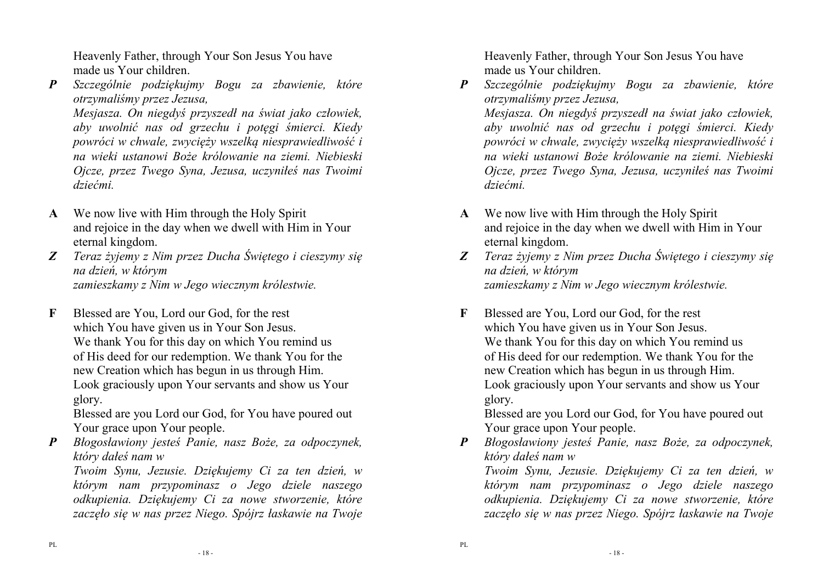Heavenly Father, through Your Son Jesus You have made us Your children.

*P Szczególnie podziękujmy Bogu za zbawienie, które otrzymaliśmy przez Jezusa,* 

 *Mesjasza. On niegdyś przyszedł na świat jako człowiek, aby uwolnić nas od grzechu i potęgi śmierci. Kiedy powróci w chwale, zwycięży wszelką niesprawiedliwość i na wieki ustanowi Boże królowanie na ziemi. Niebieski Ojcze, przez Twego Syna, Jezusa, uczyniłeś nas Twoimi dziećmi.* 

- **A** We now live with Him through the Holy Spirit and rejoice in the day when we dwell with Him in Your eternal kingdom.
- *Z Teraz żyjemy z Nim przez Ducha Świętego i cieszymy się na dzień, w którym zamieszkamy z Nim w Jego wiecznym królestwie.*
- **F** Blessed are You, Lord our God, for the rest which You have given us in Your Son Jesus. We thank You for this day on which You remind us of His deed for our redemption. We thank You for the new Creation which has begun in us through Him. Look graciously upon Your servants and show us Yourglory.

Blessed are you Lord our God, for You have poured out Your grace upon Your people.

 *P Błogosławiony jesteś Panie, nasz Boże, za odpoczynek, który dałeś nam w* 

*Twoim Synu, Jezusie. Dziękujemy Ci za ten dzień, w którym nam przypominasz o Jego dziele naszego odkupienia. Dziękujemy Ci za nowe stworzenie, którezaczęło się w nas przez Niego. Spójrz łaskawie na Twoje*  Heavenly Father, through Your Son Jesus You have made us Your children.

*P Szczególnie podziękujmy Bogu za zbawienie, które otrzymaliśmy przez Jezusa,* 

 *Mesjasza. On niegdyś przyszedł na świat jako człowiek, aby uwolnić nas od grzechu i potęgi śmierci. Kiedy powróci w chwale, zwycięży wszelką niesprawiedliwość i na wieki ustanowi Boże królowanie na ziemi. Niebieski Ojcze, przez Twego Syna, Jezusa, uczyniłeś nas Twoimi dziećmi.* 

- **A** We now live with Him through the Holy Spirit and rejoice in the day when we dwell with Him in Your eternal kingdom.
- *Z Teraz żyjemy z Nim przez Ducha Świętego i cieszymy się na dzień, w którym zamieszkamy z Nim w Jego wiecznym królestwie.*
- **F** Blessed are You, Lord our God, for the rest which You have given us in Your Son Jesus. We thank You for this day on which You remind us of His deed for our redemption. We thank You for the new Creation which has begun in us through Him. Look graciously upon Your servants and show us Yourglory.

Blessed are you Lord our God, for You have poured out Your grace upon Your people.

 *P Błogosławiony jesteś Panie, nasz Boże, za odpoczynek, który dałeś nam w* 

 *Twoim Synu, Jezusie. Dziękujemy Ci za ten dzień, w którym nam przypominasz o Jego dziele naszego odkupienia. Dziękujemy Ci za nowe stworzenie, którezaczęło się w nas przez Niego. Spójrz łaskawie na Twoje*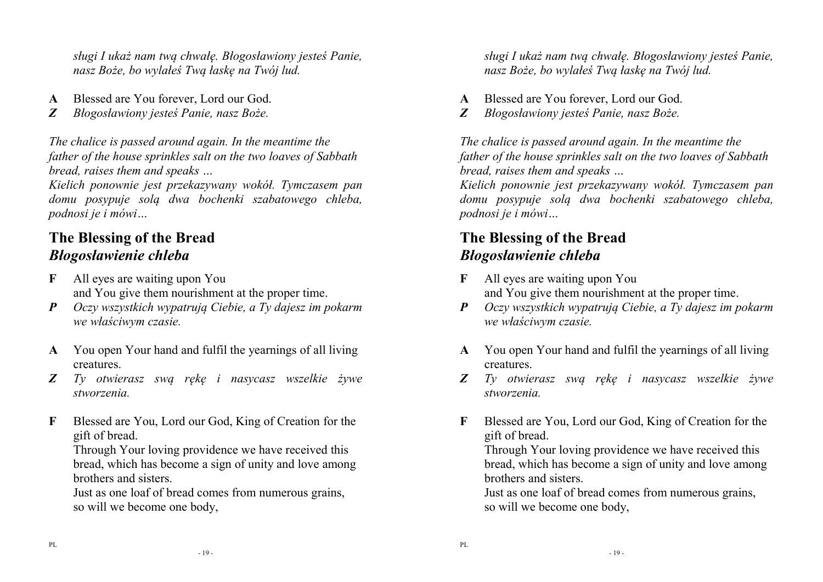*sługi I ukaż nam twą chwałę. Błogosławiony jesteś Panie, nasz Boże, bo wylałeś Twą łaskę na Twój lud.* 

- **A** Blessed are You forever, Lord our God.
- *Z Błogosławiony jesteś Panie, nasz Boże.*

*The chalice is passed around again. In the meantime the father of the house sprinkles salt on the two loaves of Sabbath bread, raises them and speaks …* 

 *Kielich ponownie jest przekazywany wokół. Tymczasem pan domu posypuje solą dwa bochenki szabatowego chleba,podnosi je i mówi…* 

# **The Blessing of the Bread***Błogosławienie chleba*

- **F** All eyes are waiting upon You and You give them nourishment at the proper time.
- *P Oczy wszystkich wypatrują Ciebie, a Ty dajesz im pokarm we właściwym czasie.*
- **A** You open Your hand and fulfil the yearnings of all living creatures.
- *Z Ty otwierasz swą rękę i nasycasz wszelkie żywe stworzenia.*
- **F** Blessed are You, Lord our God, King of Creation for the gift of bread.

Through Your loving providence we have received this bread, which has become a sign of unity and love among brothers and sisters.

 Just as one loaf of bread comes from numerous grains, so will we become one body,

*sługi I ukaż nam twą chwałę. Błogosławiony jesteś Panie, nasz Boże, bo wylałeś Twą łaskę na Twój lud.* 

- **A** Blessed are You forever, Lord our God.
- *Z Błogosławiony jesteś Panie, nasz Boże.*

*The chalice is passed around again. In the meantime the father of the house sprinkles salt on the two loaves of Sabbath bread, raises them and speaks …* 

*Kielich ponownie jest przekazywany wokół. Tymczasem pan domu posypuje solą dwa bochenki szabatowego chleba,podnosi je i mówi…* 

# **The Blessing of the Bread***Błogosławienie chleba*

- **F** All eyes are waiting upon You and You give them nourishment at the proper time.
- *P Oczy wszystkich wypatrują Ciebie, a Ty dajesz im pokarm we właściwym czasie.*
- **A** You open Your hand and fulfil the yearnings of all living creatures.
- *Z Ty otwierasz swą rękę i nasycasz wszelkie żywe stworzenia.*
- **F** Blessed are You, Lord our God, King of Creation for the gift of bread.

 Through Your loving providence we have received this bread, which has become a sign of unity and love among brothers and sisters.

 Just as one loaf of bread comes from numerous grains, so will we become one body,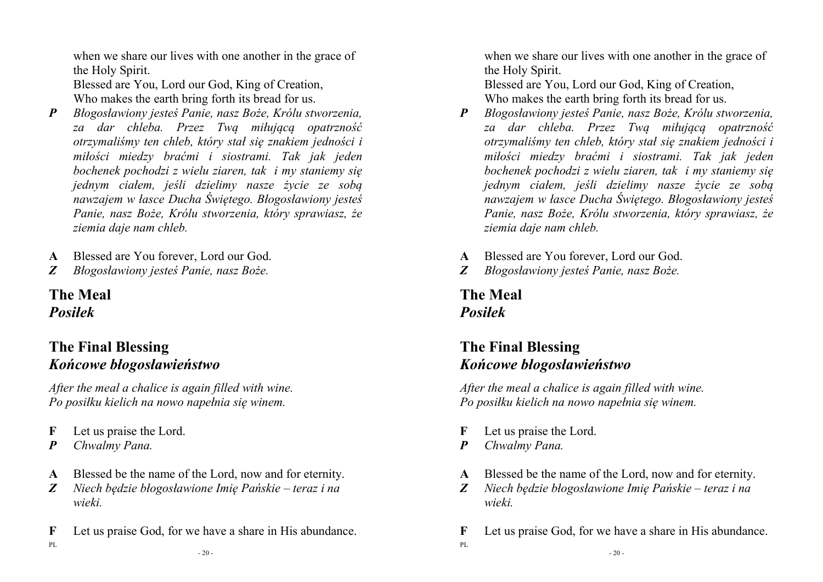when we share our lives with one another in the grace of the Holy Spirit.

 Blessed are You, Lord our God, King of Creation, Who makes the earth bring forth its bread for us.

- *P Błogosławiony jesteś Panie, nasz Boże, Królu stworzenia, za dar chleba. Przez Twą miłującą opatrzność otrzymaliśmy ten chleb, który stał się znakiem jedności i miłości miedzy braćmi i siostrami. Tak jak jeden bochenek pochodzi z wielu ziaren, tak i my staniemy się jednym ciałem, jeśli dzielimy nasze życie ze sobą nawzajem w łasce Ducha Świętego. Błogosławiony jesteś Panie, nasz Boże, Królu stworzenia, który sprawiasz, że ziemia daje nam chleb.*
- **A** Blessed are You forever, Lord our God.
- *Z Błogosławiony jesteś Panie, nasz Boże.*

# **The Meal** *Posiłek*

#### **The Final Blessing** *Końcowe błogosławieństwo*

*After the meal a chalice is again filled with wine.Po posiłku kielich na nowo napełnia się winem.* 

- **F** Let us praise the Lord.
- *P Chwalmy Pana.*

PL

- **A** Blessed be the name of the Lord, now and for eternity.
- *Z Niech będzie błogosławione Imię Pańskie teraz i na wieki.*
- **F** Let us praise God, for we have a share in His abundance.

 $-20-$ 

when we share our lives with one another in the grace of the Holy Spirit.

 Blessed are You, Lord our God, King of Creation, Who makes the earth bring forth its bread for us.

- *P Błogosławiony jesteś Panie, nasz Boże, Królu stworzenia, za dar chleba. Przez Twą miłującą opatrzność otrzymaliśmy ten chleb, który stał się znakiem jedności i miłości miedzy braćmi i siostrami. Tak jak jeden bochenek pochodzi z wielu ziaren, tak i my staniemy się jednym ciałem, jeśli dzielimy nasze życie ze sobą nawzajem w łasce Ducha Świętego. Błogosławiony jesteś Panie, nasz Boże, Królu stworzenia, który sprawiasz, że ziemia daje nam chleb.*
- **A** Blessed are You forever, Lord our God.
- *Z Błogosławiony jesteś Panie, nasz Boże.*

### **The Meal** *Posiłek*

# **The Final Blessing** *Końcowe błogosławieństwo*

*After the meal a chalice is again filled with wine.Po posiłku kielich na nowo napełnia się winem.* 

- **F** Let us praise the Lord.
- *P Chwalmy Pana.*

- **A** Blessed be the name of the Lord, now and for eternity.
- *Z Niech będzie błogosławione Imię Pańskie teraz i na wieki.*
- **F** Let us praise God, for we have a share in His abundance.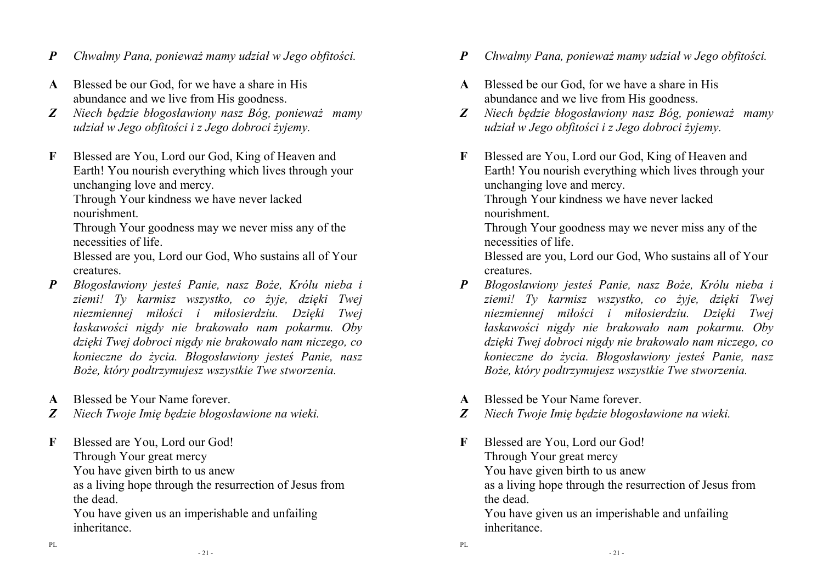- *P Chwalmy Pana, ponieważ mamy udział w Jego obfitości.*
- **A** Blessed be our God, for we have a share in His abundance and we live from His goodness.
- *Z Niech będzie błogosławiony nasz Bóg, ponieważ mamy udział w Jego obfitości i z Jego dobroci żyjemy.*
- **F** Blessed are You, Lord our God, King of Heaven and Earth! You nourish everything which lives through your unchanging love and mercy.

 Through Your kindness we have never lacked nourishment.

Through Your goodness may we never miss any of the necessities of life.

Blessed are you, Lord our God, Who sustains all of Yourcreatures.

- *P Błogosławiony jesteś Panie, nasz Boże, Królu nieba i ziemi! Ty karmisz wszystko, co żyje, dzięki Twej niezmiennej miłości i miłosierdziu. Dzięki Twej łaskawości nigdy nie brakowało nam pokarmu. Oby dzięki Twej dobroci nigdy nie brakowało nam niczego, co konieczne do życia. Błogosławiony jesteś Panie, nasz Boże, który podtrzymujesz wszystkie Twe stworzenia.*
- **A** Blessed be Your Name forever.
- *Z Niech Twoje Imię będzie błogosławione na wieki.*
- **F** Blessed are You, Lord our God! Through Your great mercy You have given birth to us anew as a living hope through the resurrection of Jesus from the dead. You have given us an imperishable and unfailing

inheritance.

- *P Chwalmy Pana, ponieważ mamy udział w Jego obfitości.*
- **A** Blessed be our God, for we have a share in His abundance and we live from His goodness.
- *Z Niech będzie błogosławiony nasz Bóg, ponieważ mamy udział w Jego obfitości i z Jego dobroci żyjemy.*
- **F** Blessed are You, Lord our God, King of Heaven and Earth! You nourish everything which lives through your unchanging love and mercy.

 Through Your kindness we have never lacked nourishment.

Through Your goodness may we never miss any of the necessities of life.

Blessed are you, Lord our God, Who sustains all of Yourcreatures.

- *P Błogosławiony jesteś Panie, nasz Boże, Królu nieba i ziemi! Ty karmisz wszystko, co żyje, dzięki Twej niezmiennej miłości i miłosierdziu. Dzięki Twej łaskawości nigdy nie brakowało nam pokarmu. Oby dzięki Twej dobroci nigdy nie brakowało nam niczego, co konieczne do życia. Błogosławiony jesteś Panie, nasz Boże, który podtrzymujesz wszystkie Twe stworzenia.*
- **A** Blessed be Your Name forever.

PL

- *Z Niech Twoje Imię będzie błogosławione na wieki.*
- **F** Blessed are You, Lord our God! Through Your great mercy You have given birth to us anew as a living hope through the resurrection of Jesus from the dead. You have given us an imperishable and unfailing inheritance.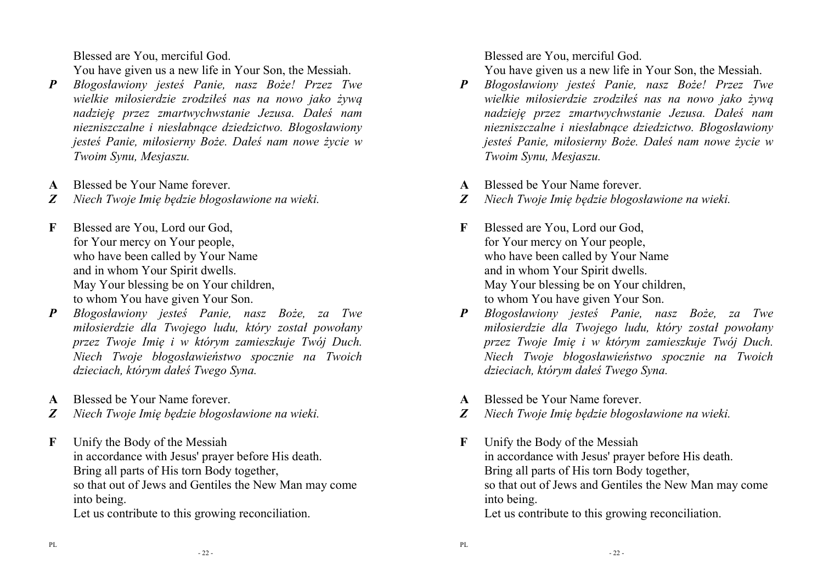Blessed are You, merciful God.

You have given us a new life in Your Son, the Messiah.

- *P Błogosławiony jesteś Panie, nasz Boże! Przez Twe wielkie miłosierdzie zrodziłeś nas na nowo jako żywą nadzieję przez zmartwychwstanie Jezusa. Dałeś nam niezniszczalne i niesłabnące dziedzictwo. Błogosławiony jesteś Panie, miłosierny Boże. Dałeś nam nowe życie w Twoim Synu, Mesjaszu.*
- **A** Blessed be Your Name forever.
- *Z Niech Twoje Imię będzie błogosławione na wieki.*
- **F** Blessed are You, Lord our God, for Your mercy on Your people, who have been called by Your Name and in whom Your Spirit dwells. May Your blessing be on Your children, to whom You have given Your Son.
- *P Błogosławiony jesteś Panie, nasz Boże, za Twe miłosierdzie dla Twojego ludu, który został powołany przez Twoje Imię i w którym zamieszkuje Twój Duch. Niech Twoje błogosławieństwo spocznie na Twoich dzieciach, którym dałeś Twego Syna.*
- **A** Blessed be Your Name forever.
- *Z Niech Twoje Imię będzie błogosławione na wieki.*
- **F** Unify the Body of the Messiah in accordance with Jesus' prayer before His death. Bring all parts of His torn Body together, so that out of Jews and Gentiles the New Man may come into being.

Let us contribute to this growing reconciliation.

Blessed are You, merciful God.

You have given us a new life in Your Son, the Messiah.

- *P Błogosławiony jesteś Panie, nasz Boże! Przez Twe wielkie miłosierdzie zrodziłeś nas na nowo jako żywą nadzieję przez zmartwychwstanie Jezusa. Dałeś nam niezniszczalne i niesłabnące dziedzictwo. Błogosławiony jesteś Panie, miłosierny Boże. Dałeś nam nowe życie w Twoim Synu, Mesjaszu.*
- **A** Blessed be Your Name forever.
- *Z Niech Twoje Imię będzie błogosławione na wieki.*
- **F** Blessed are You, Lord our God, for Your mercy on Your people, who have been called by Your Name and in whom Your Spirit dwells. May Your blessing be on Your children, to whom You have given Your Son.
- *P Błogosławiony jesteś Panie, nasz Boże, za Twe miłosierdzie dla Twojego ludu, który został powołany przez Twoje Imię i w którym zamieszkuje Twój Duch. Niech Twoje błogosławieństwo spocznie na Twoich dzieciach, którym dałeś Twego Syna.*
- **A** Blessed be Your Name forever.
- *Z Niech Twoje Imię będzie błogosławione na wieki.*
- **F** Unify the Body of the Messiah in accordance with Jesus' prayer before His death. Bring all parts of His torn Body together, so that out of Jews and Gentiles the New Man may come into being.

Let us contribute to this growing reconciliation.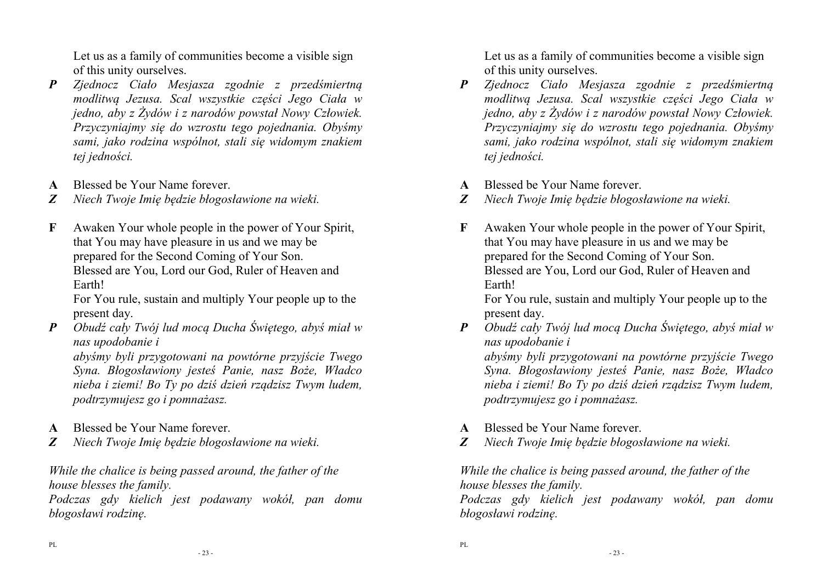Let us as a family of communities become a visible sign of this unity ourselves.

- *P Zjednocz Ciało Mesjasza zgodnie z przedśmiertną modlitwą Jezusa. Scal wszystkie części Jego Ciała w jedno, aby z Żydów i z narodów powstał Nowy Człowiek. Przyczyniajmy się do wzrostu tego pojednania. Obyśmy sami, jako rodzina wspólnot, stali się widomym znakiem tej jedności.*
- **A** Blessed be Your Name forever.
- *Z Niech Twoje Imię będzie błogosławione na wieki.*
- **F** Awaken Your whole people in the power of Your Spirit, that You may have pleasure in us and we may be prepared for the Second Coming of Your Son. Blessed are You, Lord our God, Ruler of Heaven and Earth!

 For You rule, sustain and multiply Your people up to the present day.

 *P Obudź cały Twój lud mocą Ducha Świętego, abyś miał w nas upodobanie i* 

*abyśmy byli przygotowani na powtórne przyjście Twego Syna. Błogosławiony jesteś Panie, nasz Boże, Władco nieba i ziemi! Bo Ty po dziś dzień rządzisz Twym ludem, podtrzymujesz go i pomnażasz.* 

- **A** Blessed be Your Name forever.
- *Z Niech Twoje Imię będzie błogosławione na wieki.*

*While the chalice is being passed around, the father of the house blesses the family.* 

*Podczas gdy kielich jest podawany wokół, pan domu błogosławi rodzinę.* 

Let us as a family of communities become a visible sign of this unity ourselves.

- *P Zjednocz Ciało Mesjasza zgodnie z przedśmiertną modlitwą Jezusa. Scal wszystkie części Jego Ciała w jedno, aby z Żydów i z narodów powstał Nowy Człowiek. Przyczyniajmy się do wzrostu tego pojednania. Obyśmy sami, jako rodzina wspólnot, stali się widomym znakiem tej jedności.*
- **A** Blessed be Your Name forever.
- *Z Niech Twoje Imię będzie błogosławione na wieki.*
- **F** Awaken Your whole people in the power of Your Spirit, that You may have pleasure in us and we may be prepared for the Second Coming of Your Son. Blessed are You, Lord our God, Ruler of Heaven and Earth!

 For You rule, sustain and multiply Your people up to the present day.

 *P Obudź cały Twój lud mocą Ducha Świętego, abyś miał w nas upodobanie i* 

*abyśmy byli przygotowani na powtórne przyjście Twego Syna. Błogosławiony jesteś Panie, nasz Boże, Władco nieba i ziemi! Bo Ty po dziś dzień rządzisz Twym ludem, podtrzymujesz go i pomnażasz.* 

- **A** Blessed be Your Name forever.
- *Z Niech Twoje Imię będzie błogosławione na wieki.*

*While the chalice is being passed around, the father of the house blesses the family.* 

*Podczas gdy kielich jest podawany wokół, pan domu błogosławi rodzinę.*